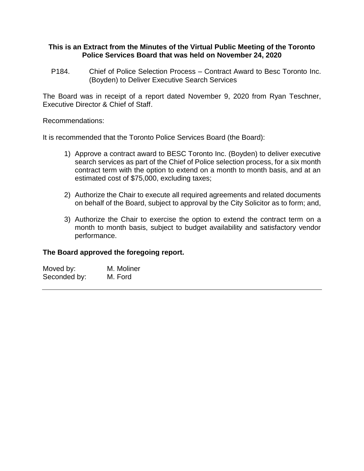#### **This is an Extract from the Minutes of the Virtual Public Meeting of the Toronto Police Services Board that was held on November 24, 2020**

P184. Chief of Police Selection Process – Contract Award to Besc Toronto Inc. (Boyden) to Deliver Executive Search Services

The Board was in receipt of a report dated November 9, 2020 from Ryan Teschner, Executive Director & Chief of Staff.

#### Recommendations:

It is recommended that the Toronto Police Services Board (the Board):

- 1) Approve a contract award to BESC Toronto Inc. (Boyden) to deliver executive search services as part of the Chief of Police selection process, for a six month contract term with the option to extend on a month to month basis, and at an estimated cost of \$75,000, excluding taxes;
- 2) Authorize the Chair to execute all required agreements and related documents on behalf of the Board, subject to approval by the City Solicitor as to form; and,
- 3) Authorize the Chair to exercise the option to extend the contract term on a month to month basis, subject to budget availability and satisfactory vendor performance.

### **The Board approved the foregoing report.**

| Moved by:    | M. Moliner |
|--------------|------------|
| Seconded by: | M. Ford    |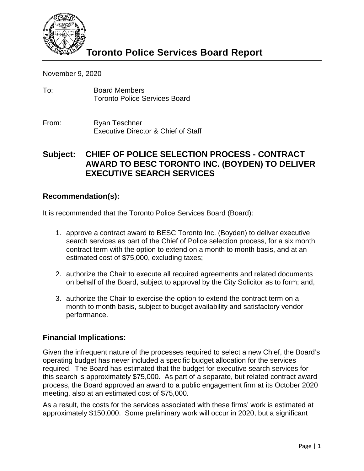

November 9, 2020

- To: Board Members Toronto Police Services Board
- From: Ryan Teschner Executive Director & Chief of Staff

# **Subject: CHIEF OF POLICE SELECTION PROCESS - CONTRACT AWARD TO BESC TORONTO INC. (BOYDEN) TO DELIVER EXECUTIVE SEARCH SERVICES**

## **Recommendation(s):**

It is recommended that the Toronto Police Services Board (Board):

- 1. approve a contract award to BESC Toronto Inc. (Boyden) to deliver executive search services as part of the Chief of Police selection process, for a six month contract term with the option to extend on a month to month basis, and at an estimated cost of \$75,000, excluding taxes;
- 2. authorize the Chair to execute all required agreements and related documents on behalf of the Board, subject to approval by the City Solicitor as to form; and,
- 3. authorize the Chair to exercise the option to extend the contract term on a month to month basis, subject to budget availability and satisfactory vendor performance.

## **Financial Implications:**

Given the infrequent nature of the processes required to select a new Chief, the Board's operating budget has never included a specific budget allocation for the services required. The Board has estimated that the budget for executive search services for this search is approximately \$75,000. As part of a separate, but related contract award process, the Board approved an award to a public engagement firm at its October 2020 meeting, also at an estimated cost of \$75,000.

As a result, the costs for the services associated with these firms' work is estimated at approximately \$150,000. Some preliminary work will occur in 2020, but a significant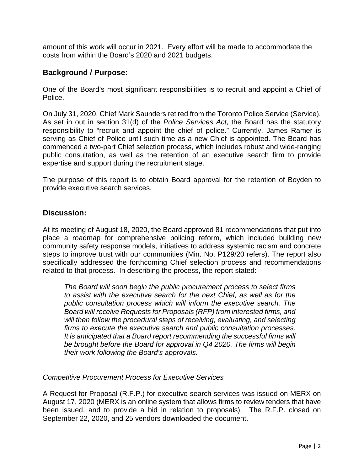amount of this work will occur in 2021. Every effort will be made to accommodate the costs from within the Board's 2020 and 2021 budgets.

## **Background / Purpose:**

One of the Board's most significant responsibilities is to recruit and appoint a Chief of Police.

On July 31, 2020, Chief Mark Saunders retired from the Toronto Police Service (Service). As set in out in section 31(d) of the *Police Services Act*, the Board has the statutory responsibility to "recruit and appoint the chief of police." Currently, James Ramer is serving as Chief of Police until such time as a new Chief is appointed. The Board has commenced a two-part Chief selection process, which includes robust and wide-ranging public consultation, as well as the retention of an executive search firm to provide expertise and support during the recruitment stage.

The purpose of this report is to obtain Board approval for the retention of Boyden to provide executive search services.

## **Discussion:**

At its meeting of August 18, 2020, the Board approved 81 recommendations that put into place a roadmap for comprehensive policing reform, which included building new community safety response models, initiatives to address systemic racism and concrete steps to improve trust with our communities (Min. No. P129/20 refers). The report also specifically addressed the forthcoming Chief selection process and recommendations related to that process. In describing the process, the report stated:

*The Board will soon begin the public procurement process to select firms to assist with the executive search for the next Chief, as well as for the public consultation process which will inform the executive search. The Board will receive Requests for Proposals (RFP) from interested firms, and*  will then follow the procedural steps of receiving, evaluating, and selecting *firms to execute the executive search and public consultation processes. It is anticipated that a Board report recommending the successful firms will be brought before the Board for approval in Q4 2020. The firms will begin their work following the Board's approvals.*

### *Competitive Procurement Process for Executive Services*

A Request for Proposal (R.F.P.) for executive search services was issued on MERX on August 17, 2020 (MERX is an online system that allows firms to review tenders that have been issued, and to provide a bid in relation to proposals). The R.F.P. closed on September 22, 2020, and 25 vendors downloaded the document.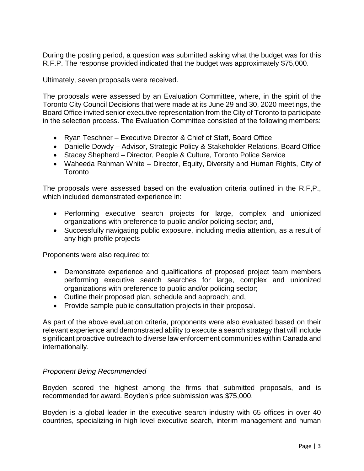During the posting period, a question was submitted asking what the budget was for this R.F.P. The response provided indicated that the budget was approximately \$75,000.

Ultimately, seven proposals were received.

The proposals were assessed by an Evaluation Committee, where, in the spirit of the Toronto City Council Decisions that were made at its June 29 and 30, 2020 meetings, the Board Office invited senior executive representation from the City of Toronto to participate in the selection process. The Evaluation Committee consisted of the following members:

- Ryan Teschner Executive Director & Chief of Staff, Board Office
- Danielle Dowdy Advisor, Strategic Policy & Stakeholder Relations, Board Office
- Stacey Shepherd Director, People & Culture, Toronto Police Service
- Waheeda Rahman White Director, Equity, Diversity and Human Rights, City of **Toronto**

The proposals were assessed based on the evaluation criteria outlined in the R.F,P., which included demonstrated experience in:

- Performing executive search projects for large, complex and unionized organizations with preference to public and/or policing sector; and,
- Successfully navigating public exposure, including media attention, as a result of any high-profile projects

Proponents were also required to:

- Demonstrate experience and qualifications of proposed project team members performing executive search searches for large, complex and unionized organizations with preference to public and/or policing sector;
- Outline their proposed plan, schedule and approach; and,
- Provide sample public consultation projects in their proposal.

As part of the above evaluation criteria, proponents were also evaluated based on their relevant experience and demonstrated ability to execute a search strategy that will include significant proactive outreach to diverse law enforcement communities within Canada and internationally.

### *Proponent Being Recommended*

Boyden scored the highest among the firms that submitted proposals, and is recommended for award. Boyden's price submission was \$75,000.

Boyden is a global leader in the executive search industry with 65 offices in over 40 countries, specializing in high level executive search, interim management and human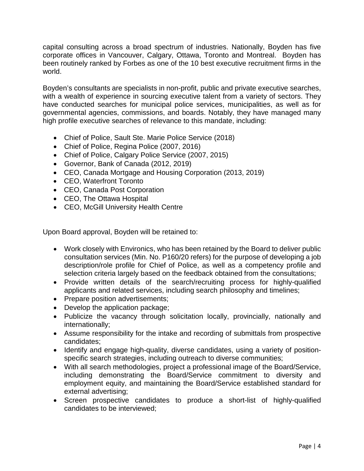capital consulting across a broad spectrum of industries. Nationally, Boyden has five corporate offices in Vancouver, Calgary, Ottawa, Toronto and Montreal. Boyden has been routinely ranked by Forbes as one of the 10 best executive recruitment firms in the world.

Boyden's consultants are specialists in non-profit, public and private executive searches, with a wealth of experience in sourcing executive talent from a variety of sectors. They have conducted searches for municipal police services, municipalities, as well as for governmental agencies, commissions, and boards. Notably, they have managed many high profile executive searches of relevance to this mandate, including:

- Chief of Police, Sault Ste. Marie Police Service (2018)
- Chief of Police, Regina Police (2007, 2016)
- Chief of Police, Calgary Police Service (2007, 2015)
- Governor, Bank of Canada (2012, 2019)
- CEO, Canada Mortgage and Housing Corporation (2013, 2019)
- CEO, Waterfront Toronto
- CEO, Canada Post Corporation
- CEO, The Ottawa Hospital
- CEO, McGill University Health Centre

Upon Board approval, Boyden will be retained to:

- Work closely with Environics, who has been retained by the Board to deliver public consultation services (Min. No. P160/20 refers) for the purpose of developing a job description/role profile for Chief of Police, as well as a competency profile and selection criteria largely based on the feedback obtained from the consultations;
- Provide written details of the search/recruiting process for highly-qualified applicants and related services, including search philosophy and timelines;
- Prepare position advertisements;
- Develop the application package;
- Publicize the vacancy through solicitation locally, provincially, nationally and internationally;
- Assume responsibility for the intake and recording of submittals from prospective candidates;
- Identify and engage high-quality, diverse candidates, using a variety of positionspecific search strategies, including outreach to diverse communities;
- With all search methodologies, project a professional image of the Board/Service, including demonstrating the Board/Service commitment to diversity and employment equity, and maintaining the Board/Service established standard for external advertising;
- Screen prospective candidates to produce a short-list of highly-qualified candidates to be interviewed;